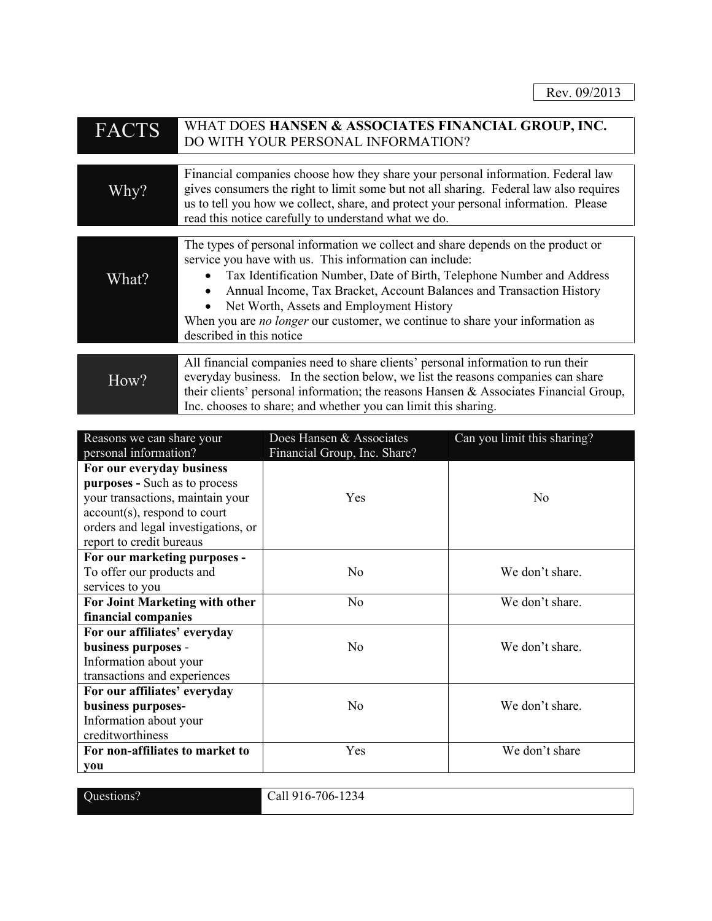| <b>FACTS</b> | WHAT DOES HANSEN & ASSOCIATES FINANCIAL GROUP, INC.<br>DO WITH YOUR PERSONAL INFORMATION?                                                                                                                                                                                                                                                                                                                                                                                               |
|--------------|-----------------------------------------------------------------------------------------------------------------------------------------------------------------------------------------------------------------------------------------------------------------------------------------------------------------------------------------------------------------------------------------------------------------------------------------------------------------------------------------|
|              |                                                                                                                                                                                                                                                                                                                                                                                                                                                                                         |
| Why?         | Financial companies choose how they share your personal information. Federal law<br>gives consumers the right to limit some but not all sharing. Federal law also requires<br>us to tell you how we collect, share, and protect your personal information. Please<br>read this notice carefully to understand what we do.                                                                                                                                                               |
|              |                                                                                                                                                                                                                                                                                                                                                                                                                                                                                         |
| What?        | The types of personal information we collect and share depends on the product or<br>service you have with us. This information can include:<br>Tax Identification Number, Date of Birth, Telephone Number and Address<br>$\bullet$<br>Annual Income, Tax Bracket, Account Balances and Transaction History<br>$\bullet$<br>Net Worth, Assets and Employment History<br>When you are <i>no longer</i> our customer, we continue to share your information as<br>described in this notice |
|              | All financial companies need to share clients' personal information to run their                                                                                                                                                                                                                                                                                                                                                                                                        |
| How?         | everyday business. In the section below, we list the reasons companies can share<br>their clients' personal information; the reasons Hansen & Associates Financial Group,<br>Inc. chooses to share; and whether you can limit this sharing.                                                                                                                                                                                                                                             |

| Reasons we can share your           | Does Hansen & Associates     | Can you limit this sharing? |
|-------------------------------------|------------------------------|-----------------------------|
| personal information?               | Financial Group, Inc. Share? |                             |
| For our everyday business           |                              |                             |
| purposes - Such as to process       |                              |                             |
| your transactions, maintain your    | Yes                          | N <sub>0</sub>              |
| account(s), respond to court        |                              |                             |
| orders and legal investigations, or |                              |                             |
| report to credit bureaus            |                              |                             |
| For our marketing purposes -        |                              |                             |
| To offer our products and           | N <sub>0</sub>               | We don't share.             |
| services to you                     |                              |                             |
| For Joint Marketing with other      | No                           | We don't share.             |
| financial companies                 |                              |                             |
| For our affiliates' everyday        |                              |                             |
| business purposes -                 | No                           | We don't share.             |
| Information about your              |                              |                             |
| transactions and experiences        |                              |                             |
| For our affiliates' everyday        |                              |                             |
| business purposes-                  | N <sub>o</sub>               | We don't share.             |
| Information about your              |                              |                             |
| creditworthiness                    |                              |                             |
| For non-affiliates to market to     | Yes                          | We don't share              |
| you                                 |                              |                             |

Questions? Call 916-706-1234